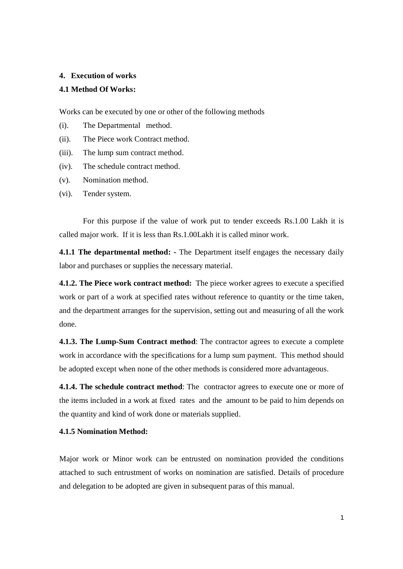#### **4. Execution of works**

## **4.1 Method Of Works:**

Works can be executed by one or other of the following methods

- (i). The Departmental method.
- (ii). The Piece work Contract method.
- (iii). The lump sum contract method.
- (iv). The schedule contract method.
- (v). Nomination method.
- (vi). Tender system.

For this purpose if the value of work put to tender exceeds Rs.1.00 Lakh it is called major work. If it is less than Rs.1.00Lakh it is called minor work.

**4.1.1 The departmental method: -** The Department itself engages the necessary daily labor and purchases or supplies the necessary material.

**4.1.2. The Piece work contract method:** The piece worker agrees to execute a specified work or part of a work at specified rates without reference to quantity or the time taken, and the department arranges for the supervision, setting out and measuring of all the work done.

**4.1.3. The Lump-Sum Contract method**: The contractor agrees to execute a complete work in accordance with the specifications for a lump sum payment. This method should be adopted except when none of the other methods is considered more advantageous.

**4.1.4. The schedule contract method**: The contractor agrees to execute one or more of the items included in a work at fixed rates and the amount to be paid to him depends on the quantity and kind of work done or materials supplied.

## **4.1.5 Nomination Method:**

Major work or Minor work can be entrusted on nomination provided the conditions attached to such entrustment of works on nomination are satisfied. Details of procedure and delegation to be adopted are given in subsequent paras of this manual.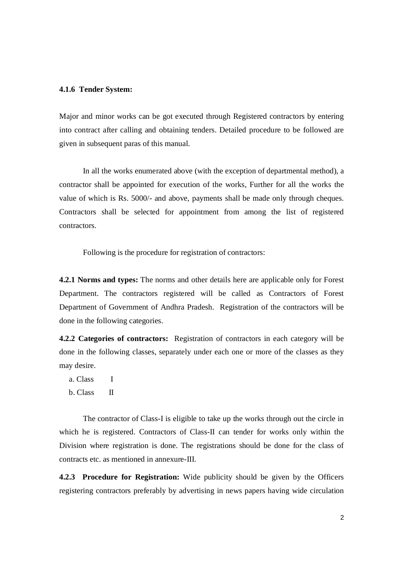#### **4.1.6 Tender System:**

Major and minor works can be got executed through Registered contractors by entering into contract after calling and obtaining tenders. Detailed procedure to be followed are given in subsequent paras of this manual.

In all the works enumerated above (with the exception of departmental method), a contractor shall be appointed for execution of the works, Further for all the works the value of which is Rs. 5000/- and above, payments shall be made only through cheques. Contractors shall be selected for appointment from among the list of registered contractors.

Following is the procedure for registration of contractors:

**4.2.1 Norms and types:** The norms and other details here are applicable only for Forest Department. The contractors registered will be called as Contractors of Forest Department of Government of Andhra Pradesh. Registration of the contractors will be done in the following categories.

**4.2.2 Categories of contractors:** Registration of contractors in each category will be done in the following classes, separately under each one or more of the classes as they may desire.

- a. Class I
- b. Class II

The contractor of Class-I is eligible to take up the works through out the circle in which he is registered. Contractors of Class-II can tender for works only within the Division where registration is done. The registrations should be done for the class of contracts etc. as mentioned in annexure-III.

**4.2.3 Procedure for Registration:** Wide publicity should be given by the Officers registering contractors preferably by advertising in news papers having wide circulation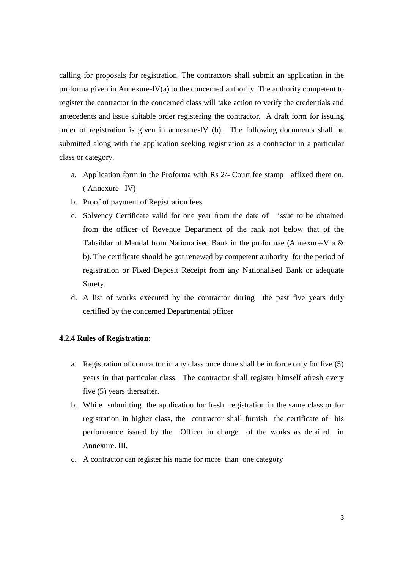calling for proposals for registration. The contractors shall submit an application in the proforma given in Annexure-IV(a) to the concerned authority. The authority competent to register the contractor in the concerned class will take action to verify the credentials and antecedents and issue suitable order registering the contractor. A draft form for issuing order of registration is given in annexure-IV (b). The following documents shall be submitted along with the application seeking registration as a contractor in a particular class or category.

- a. Application form in the Proforma with Rs 2/- Court fee stamp affixed there on. ( Annexure –IV)
- b. Proof of payment of Registration fees
- c. Solvency Certificate valid for one year from the date of issue to be obtained from the officer of Revenue Department of the rank not below that of the Tahsildar of Mandal from Nationalised Bank in the proformae (Annexure-V a & b). The certificate should be got renewed by competent authority for the period of registration or Fixed Deposit Receipt from any Nationalised Bank or adequate Surety.
- d. A list of works executed by the contractor during the past five years duly certified by the concerned Departmental officer

#### **4.2.4 Rules of Registration:**

- a. Registration of contractor in any class once done shall be in force only for five (5) years in that particular class. The contractor shall register himself afresh every five (5) years thereafter.
- b. While submitting the application for fresh registration in the same class or for registration in higher class, the contractor shall furnish the certificate of his performance issued by the Officer in charge of the works as detailed in Annexure. III,
- c. A contractor can register his name for more than one category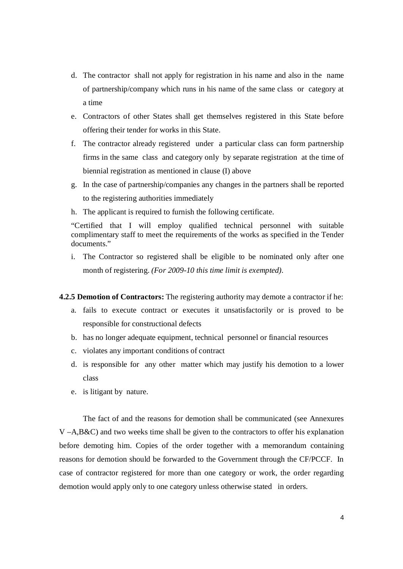- d. The contractor shall not apply for registration in his name and also in the name of partnership/company which runs in his name of the same class or category at a time
- e. Contractors of other States shall get themselves registered in this State before offering their tender for works in this State.
- f. The contractor already registered under a particular class can form partnership firms in the same class and category only by separate registration at the time of biennial registration as mentioned in clause (I) above
- g. In the case of partnership/companies any changes in the partners shall be reported to the registering authorities immediately
- h. The applicant is required to furnish the following certificate.

"Certified that I will employ qualified technical personnel with suitable complimentary staff to meet the requirements of the works as specified in the Tender documents."

i. The Contractor so registered shall be eligible to be nominated only after one month of registering. *(For 2009-10 this time limit is exempted).*

## **4.2.5 Demotion of Contractors:** The registering authority may demote a contractor if he:

- a. fails to execute contract or executes it unsatisfactorily or is proved to be responsible for constructional defects
- b. has no longer adequate equipment, technical personnel or financial resources
- c. violates any important conditions of contract
- d. is responsible for any other matter which may justify his demotion to a lower class
- e. is litigant by nature.

The fact of and the reasons for demotion shall be communicated (see Annexures  $V - A$ , $B$ &C) and two weeks time shall be given to the contractors to offer his explanation before demoting him. Copies of the order together with a memorandum containing reasons for demotion should be forwarded to the Government through the CF/PCCF. In case of contractor registered for more than one category or work, the order regarding demotion would apply only to one category unless otherwise stated in orders.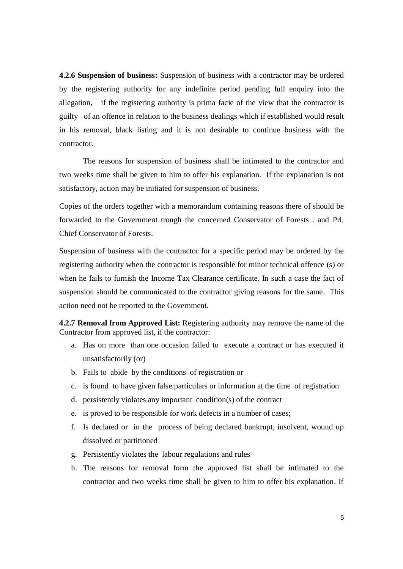**4.2.6 Suspension of business:** Suspension of business with a contractor may be ordered by the registering authority for any indefinite period pending full enquiry into the allegation, if the registering authority is prima facie of the view that the contractor is guilty of an offence in relation to the business dealings which if established would result in his removal, black listing and it is not desirable to continue business with the contractor.

The reasons for suspension of business shall be intimated to the contractor and two weeks time shall be given to him to offer his explanation. If the explanation is not satisfactory, action may be initiated for suspension of business.

Copies of the orders together with a memorandum containing reasons there of should be forwarded to the Government trough the concerned Conservator of Forests . and Prl. Chief Conservator of Forests.

Suspension of business with the contractor for a specific period may be ordered by the registering authority when the contractor is responsible for minor technical offence (s) or when he fails to furnish the Income Tax Clearance certificate. In such a case the fact of suspension should be communicated to the contractor giving reasons for the same. This action need not be reported to the Government.

**4.2.7 Removal from Approved List:** Registering authority may remove the name of the Contractor from approved list, if the contractor:

- a. Has on more than one occasion failed to execute a contract or has executed it unsatisfactorily (or)
- b. Fails to abide by the conditions of registration or
- c. is found to have given false particulars or information at the time of registration
- d. persistently violates any important condition(s) of the contract
- e. is proved to be responsible for work defects in a number of cases;
- f. Is declared or in the process of being declared bankrupt, insolvent, wound up dissolved or partitioned
- g. Persistently violates the labour regulations and rules
- h. The reasons for removal form the approved list shall be intimated to the contractor and two weeks time shall be given to him to offer his explanation. If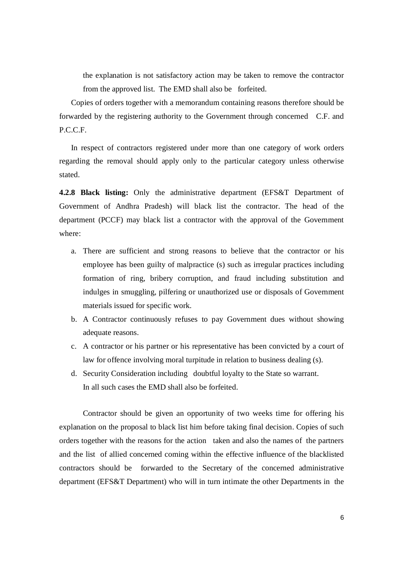the explanation is not satisfactory action may be taken to remove the contractor from the approved list. The EMD shall also be forfeited.

Copies of orders together with a memorandum containing reasons therefore should be forwarded by the registering authority to the Government through concerned C.F. and P.C.C.F.

In respect of contractors registered under more than one category of work orders regarding the removal should apply only to the particular category unless otherwise stated.

**4.2.8 Black listing:** Only the administrative department (EFS&T Department of Government of Andhra Pradesh) will black list the contractor. The head of the department (PCCF) may black list a contractor with the approval of the Government where:

- a. There are sufficient and strong reasons to believe that the contractor or his employee has been guilty of malpractice (s) such as irregular practices including formation of ring, bribery corruption, and fraud including substitution and indulges in smuggling, pilfering or unauthorized use or disposals of Government materials issued for specific work.
- b. A Contractor continuously refuses to pay Government dues without showing adequate reasons.
- c. A contractor or his partner or his representative has been convicted by a court of law for offence involving moral turpitude in relation to business dealing (s).
- d. Security Consideration including doubtful loyalty to the State so warrant. In all such cases the EMD shall also be forfeited.

Contractor should be given an opportunity of two weeks time for offering his explanation on the proposal to black list him before taking final decision. Copies of such orders together with the reasons for the action taken and also the names of the partners and the list of allied concerned coming within the effective influence of the blacklisted contractors should be forwarded to the Secretary of the concerned administrative department (EFS&T Department) who will in turn intimate the other Departments in the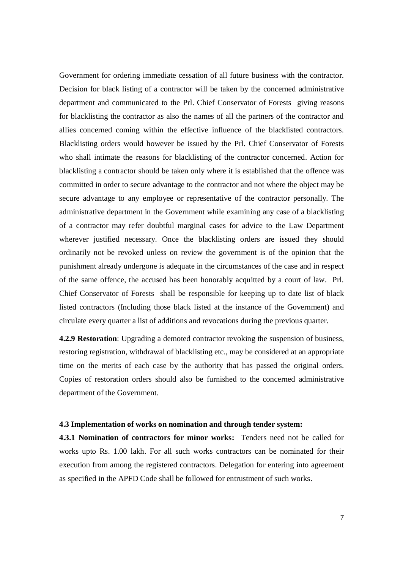Government for ordering immediate cessation of all future business with the contractor. Decision for black listing of a contractor will be taken by the concerned administrative department and communicated to the Prl. Chief Conservator of Forests giving reasons for blacklisting the contractor as also the names of all the partners of the contractor and allies concerned coming within the effective influence of the blacklisted contractors. Blacklisting orders would however be issued by the Prl. Chief Conservator of Forests who shall intimate the reasons for blacklisting of the contractor concerned. Action for blacklisting a contractor should be taken only where it is established that the offence was committed in order to secure advantage to the contractor and not where the object may be secure advantage to any employee or representative of the contractor personally. The administrative department in the Government while examining any case of a blacklisting of a contractor may refer doubtful marginal cases for advice to the Law Department wherever justified necessary. Once the blacklisting orders are issued they should ordinarily not be revoked unless on review the government is of the opinion that the punishment already undergone is adequate in the circumstances of the case and in respect of the same offence, the accused has been honorably acquitted by a court of law. Prl. Chief Conservator of Forests shall be responsible for keeping up to date list of black listed contractors (Including those black listed at the instance of the Government) and circulate every quarter a list of additions and revocations during the previous quarter.

**4.2.9 Restoration**: Upgrading a demoted contractor revoking the suspension of business, restoring registration, withdrawal of blacklisting etc., may be considered at an appropriate time on the merits of each case by the authority that has passed the original orders. Copies of restoration orders should also be furnished to the concerned administrative department of the Government.

## **4.3 Implementation of works on nomination and through tender system:**

**4.3.1 Nomination of contractors for minor works:** Tenders need not be called for works upto Rs. 1.00 lakh. For all such works contractors can be nominated for their execution from among the registered contractors. Delegation for entering into agreement as specified in the APFD Code shall be followed for entrustment of such works.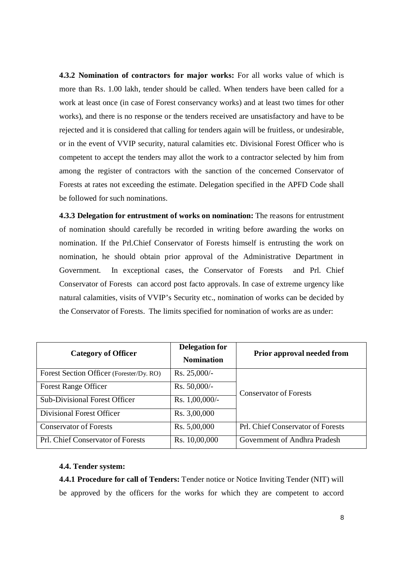**4.3.2 Nomination of contractors for major works:** For all works value of which is more than Rs. 1.00 lakh, tender should be called. When tenders have been called for a work at least once (in case of Forest conservancy works) and at least two times for other works), and there is no response or the tenders received are unsatisfactory and have to be rejected and it is considered that calling for tenders again will be fruitless, or undesirable, or in the event of VVIP security, natural calamities etc. Divisional Forest Officer who is competent to accept the tenders may allot the work to a contractor selected by him from among the register of contractors with the sanction of the concerned Conservator of Forests at rates not exceeding the estimate. Delegation specified in the APFD Code shall be followed for such nominations.

**4.3.3 Delegation for entrustment of works on nomination:** The reasons for entrustment of nomination should carefully be recorded in writing before awarding the works on nomination. If the Prl.Chief Conservator of Forests himself is entrusting the work on nomination, he should obtain prior approval of the Administrative Department in Government. In exceptional cases, the Conservator of Forests and Prl. Chief Conservator of Forests can accord post facto approvals. In case of extreme urgency like natural calamities, visits of VVIP's Security etc., nomination of works can be decided by the Conservator of Forests. The limits specified for nomination of works are as under:

| <b>Category of Officer</b>               | <b>Delegation for</b><br><b>Nomination</b> | <b>Prior approval needed from</b> |  |
|------------------------------------------|--------------------------------------------|-----------------------------------|--|
| Forest Section Officer (Forester/Dy. RO) | $Rs. 25,000/-$                             |                                   |  |
| <b>Forest Range Officer</b>              | $Rs. 50,000/$ -                            | <b>Conservator of Forests</b>     |  |
| <b>Sub-Divisional Forest Officer</b>     | Rs. $1,00,000/-$                           |                                   |  |
| Divisional Forest Officer                | Rs. 3,00,000                               |                                   |  |
| <b>Conservator of Forests</b>            | Rs. 5,00,000                               | Prl. Chief Conservator of Forests |  |
| <b>Prl. Chief Conservator of Forests</b> | Rs. 10,00,000                              | Government of Andhra Pradesh      |  |

#### **4.4. Tender system:**

**4.4.1 Procedure for call of Tenders:** Tender notice or Notice Inviting Tender (NIT) will be approved by the officers for the works for which they are competent to accord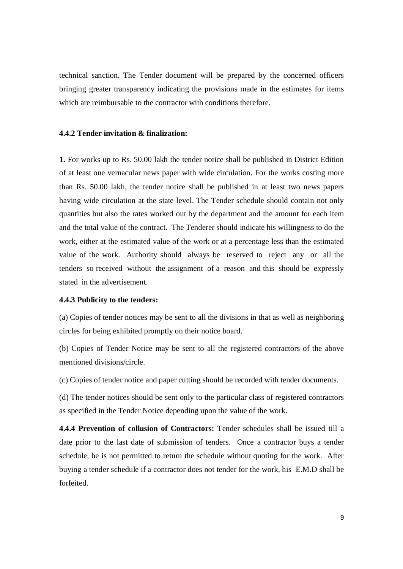technical sanction. The Tender document will be prepared by the concerned officers bringing greater transparency indicating the provisions made in the estimates for items which are reimbursable to the contractor with conditions therefore.

## **4.4.2 Tender invitation & finalization:**

**1.** For works up to Rs. 50.00 lakh the tender notice shall be published in District Edition of at least one vernacular news paper with wide circulation. For the works costing more than Rs. 50.00 lakh, the tender notice shall be published in at least two news papers having wide circulation at the state level. The Tender schedule should contain not only quantities but also the rates worked out by the department and the amount for each item and the total value of the contract. The Tenderer should indicate his willingness to do the work, either at the estimated value of the work or at a percentage less than the estimated value of the work. Authority should always be reserved to reject any or all the tenders so received without the assignment of a reason and this should be expressly stated in the advertisement.

## **4.4.3 Publicity to the tenders:**

(a) Copies of tender notices may be sent to all the divisions in that as well as neighboring circles for being exhibited promptly on their notice board.

(b) Copies of Tender Notice may be sent to all the registered contractors of the above mentioned divisions/circle.

(c) Copies of tender notice and paper cutting should be recorded with tender documents.

(d) The tender notices should be sent only to the particular class of registered contractors as specified in the Tender Notice depending upon the value of the work.

**4.4.4 Prevention of collusion of Contractors:** Tender schedules shall be issued till a date prior to the last date of submission of tenders. Once a contractor buys a tender schedule, he is not permitted to return the schedule without quoting for the work. After buying a tender schedule if a contractor does not tender for the work, his E.M.D shall be forfeited.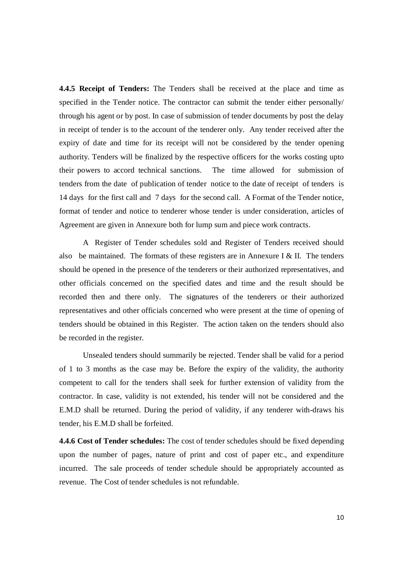**4.4.5 Receipt of Tenders:** The Tenders shall be received at the place and time as specified in the Tender notice. The contractor can submit the tender either personally/ through his agent or by post. In case of submission of tender documents by post the delay in receipt of tender is to the account of the tenderer only. Any tender received after the expiry of date and time for its receipt will not be considered by the tender opening authority. Tenders will be finalized by the respective officers for the works costing upto their powers to accord technical sanctions. The time allowed for submission of tenders from the date of publication of tender notice to the date of receipt of tenders is 14 days for the first call and 7 days for the second call. A Format of the Tender notice, format of tender and notice to tenderer whose tender is under consideration, articles of Agreement are given in Annexure both for lump sum and piece work contracts.

A Register of Tender schedules sold and Register of Tenders received should also be maintained. The formats of these registers are in Annexure I & II. The tenders should be opened in the presence of the tenderers or their authorized representatives, and other officials concerned on the specified dates and time and the result should be recorded then and there only. The signatures of the tenderers or their authorized representatives and other officials concerned who were present at the time of opening of tenders should be obtained in this Register. The action taken on the tenders should also be recorded in the register.

Unsealed tenders should summarily be rejected. Tender shall be valid for a period of 1 to 3 months as the case may be. Before the expiry of the validity, the authority competent to call for the tenders shall seek for further extension of validity from the contractor. In case, validity is not extended, his tender will not be considered and the E.M.D shall be returned. During the period of validity, if any tenderer with-draws his tender, his E.M.D shall be forfeited.

**4.4.6 Cost of Tender schedules:** The cost of tender schedules should be fixed depending upon the number of pages, nature of print and cost of paper etc., and expenditure incurred. The sale proceeds of tender schedule should be appropriately accounted as revenue. The Cost of tender schedules is not refundable.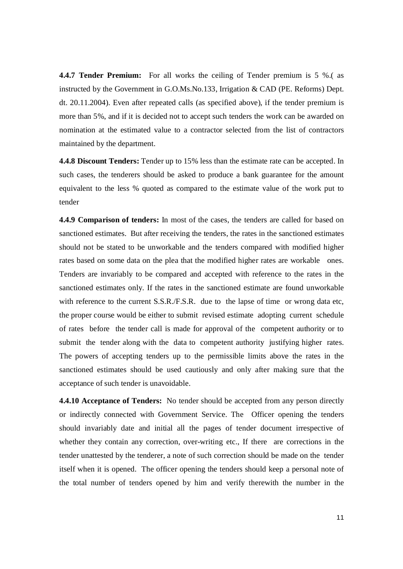**4.4.7 Tender Premium:** For all works the ceiling of Tender premium is 5 %.( as instructed by the Government in G.O.Ms.No.133, Irrigation & CAD (PE. Reforms) Dept. dt. 20.11.2004). Even after repeated calls (as specified above), if the tender premium is more than 5%, and if it is decided not to accept such tenders the work can be awarded on nomination at the estimated value to a contractor selected from the list of contractors maintained by the department.

**4.4.8 Discount Tenders:** Tender up to 15% less than the estimate rate can be accepted. In such cases, the tenderers should be asked to produce a bank guarantee for the amount equivalent to the less % quoted as compared to the estimate value of the work put to tender

**4.4.9 Comparison of tenders:** In most of the cases, the tenders are called for based on sanctioned estimates. But after receiving the tenders, the rates in the sanctioned estimates should not be stated to be unworkable and the tenders compared with modified higher rates based on some data on the plea that the modified higher rates are workable ones. Tenders are invariably to be compared and accepted with reference to the rates in the sanctioned estimates only. If the rates in the sanctioned estimate are found unworkable with reference to the current S.S.R./F.S.R. due to the lapse of time or wrong data etc, the proper course would be either to submit revised estimate adopting current schedule of rates before the tender call is made for approval of the competent authority or to submit the tender along with the data to competent authority justifying higher rates. The powers of accepting tenders up to the permissible limits above the rates in the sanctioned estimates should be used cautiously and only after making sure that the acceptance of such tender is unavoidable.

**4.4.10 Acceptance of Tenders:** No tender should be accepted from any person directly or indirectly connected with Government Service. The Officer opening the tenders should invariably date and initial all the pages of tender document irrespective of whether they contain any correction, over-writing etc., If there are corrections in the tender unattested by the tenderer, a note of such correction should be made on the tender itself when it is opened. The officer opening the tenders should keep a personal note of the total number of tenders opened by him and verify therewith the number in the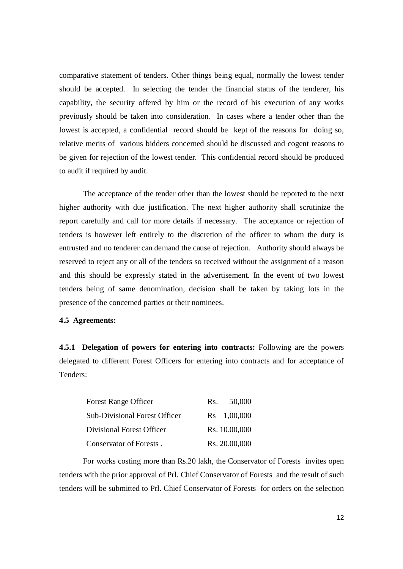comparative statement of tenders. Other things being equal, normally the lowest tender should be accepted. In selecting the tender the financial status of the tenderer, his capability, the security offered by him or the record of his execution of any works previously should be taken into consideration. In cases where a tender other than the lowest is accepted, a confidential record should be kept of the reasons for doing so, relative merits of various bidders concerned should be discussed and cogent reasons to be given for rejection of the lowest tender. This confidential record should be produced to audit if required by audit.

The acceptance of the tender other than the lowest should be reported to the next higher authority with due justification. The next higher authority shall scrutinize the report carefully and call for more details if necessary. The acceptance or rejection of tenders is however left entirely to the discretion of the officer to whom the duty is entrusted and no tenderer can demand the cause of rejection. Authority should always be reserved to reject any or all of the tenders so received without the assignment of a reason and this should be expressly stated in the advertisement. In the event of two lowest tenders being of same denomination, decision shall be taken by taking lots in the presence of the concerned parties or their nominees.

## **4.5 Agreements:**

**4.5.1 Delegation of powers for entering into contracts:** Following are the powers delegated to different Forest Officers for entering into contracts and for acceptance of Tenders:

| <b>Forest Range Officer</b>          | 50,000<br>Rs. |
|--------------------------------------|---------------|
| <b>Sub-Divisional Forest Officer</b> | Rs 1,00,000   |
| Divisional Forest Officer            | Rs. 10,00,000 |
| Conservator of Forests.              | Rs. 20,00,000 |

For works costing more than Rs.20 lakh, the Conservator of Forests invites open tenders with the prior approval of Prl. Chief Conservator of Forests and the result of such tenders will be submitted to Prl. Chief Conservator of Forests for orders on the selection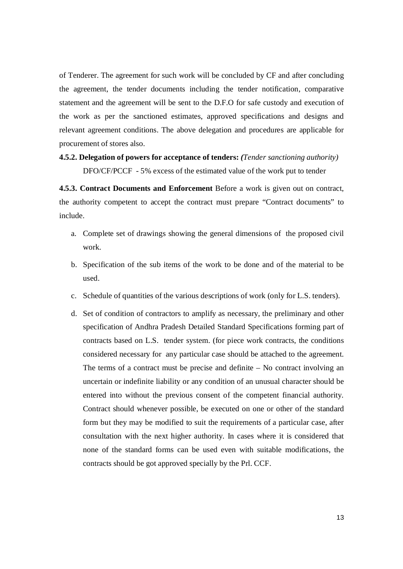of Tenderer. The agreement for such work will be concluded by CF and after concluding the agreement, the tender documents including the tender notification, comparative statement and the agreement will be sent to the D.F.O for safe custody and execution of the work as per the sanctioned estimates, approved specifications and designs and relevant agreement conditions. The above delegation and procedures are applicable for procurement of stores also.

# **4.5.2. Delegation of powers for acceptance of tenders:** *(Tender sanctioning authority)* DFO/CF/PCCF - 5% excess of the estimated value of the work put to tender

**4.5.3. Contract Documents and Enforcement** Before a work is given out on contract, the authority competent to accept the contract must prepare "Contract documents" to include.

- a. Complete set of drawings showing the general dimensions of the proposed civil work.
- b. Specification of the sub items of the work to be done and of the material to be used.
- c. Schedule of quantities of the various descriptions of work (only for L.S. tenders).
- d. Set of condition of contractors to amplify as necessary, the preliminary and other specification of Andhra Pradesh Detailed Standard Specifications forming part of contracts based on L.S. tender system. (for piece work contracts, the conditions considered necessary for any particular case should be attached to the agreement. The terms of a contract must be precise and definite – No contract involving an uncertain or indefinite liability or any condition of an unusual character should be entered into without the previous consent of the competent financial authority. Contract should whenever possible, be executed on one or other of the standard form but they may be modified to suit the requirements of a particular case, after consultation with the next higher authority. In cases where it is considered that none of the standard forms can be used even with suitable modifications, the contracts should be got approved specially by the Prl. CCF.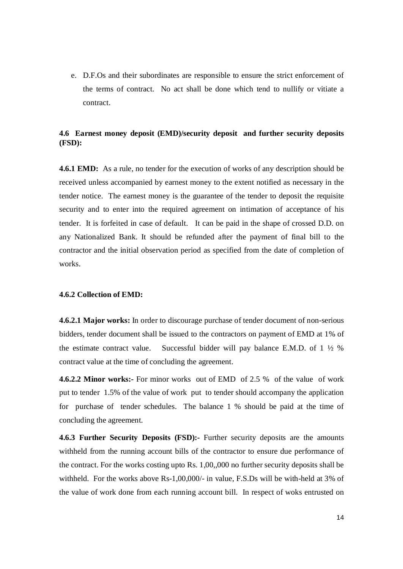e. D.F.Os and their subordinates are responsible to ensure the strict enforcement of the terms of contract. No act shall be done which tend to nullify or vitiate a contract.

# **4.6 Earnest money deposit (EMD)/security deposit and further security deposits (FSD):**

**4.6.1 EMD:** As a rule, no tender for the execution of works of any description should be received unless accompanied by earnest money to the extent notified as necessary in the tender notice. The earnest money is the guarantee of the tender to deposit the requisite security and to enter into the required agreement on intimation of acceptance of his tender. It is forfeited in case of default. It can be paid in the shape of crossed D.D. on any Nationalized Bank. It should be refunded after the payment of final bill to the contractor and the initial observation period as specified from the date of completion of works.

#### **4.6.2 Collection of EMD:**

**4.6.2.1 Major works:** In order to discourage purchase of tender document of non-serious bidders, tender document shall be issued to the contractors on payment of EMD at 1% of the estimate contract value. Successful bidder will pay balance E.M.D. of  $1\frac{1}{2}\%$ contract value at the time of concluding the agreement.

**4.6.2.2 Minor works:-** For minor works out of EMD of 2.5 % of the value of work put to tender 1.5% of the value of work put to tender should accompany the application for purchase of tender schedules. The balance 1 % should be paid at the time of concluding the agreement.

**4.6.3 Further Security Deposits (FSD):-** Further security deposits are the amounts withheld from the running account bills of the contractor to ensure due performance of the contract. For the works costing upto Rs. 1,00,,000 no further security deposits shall be withheld. For the works above Rs-1,00,000/- in value, F.S.Ds will be with-held at 3% of the value of work done from each running account bill. In respect of woks entrusted on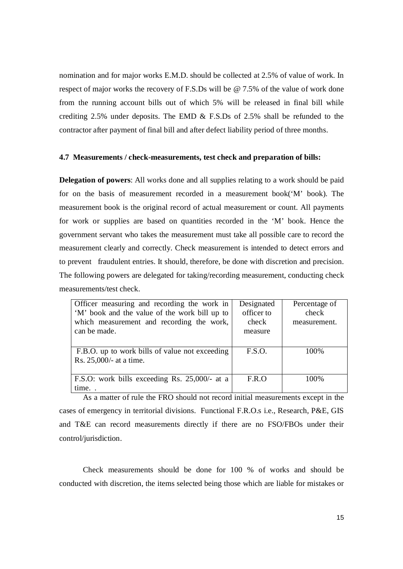nomination and for major works E.M.D. should be collected at 2.5% of value of work. In respect of major works the recovery of F.S.Ds will be @ 7.5% of the value of work done from the running account bills out of which 5% will be released in final bill while crediting 2.5% under deposits. The EMD & F.S.Ds of 2.5% shall be refunded to the contractor after payment of final bill and after defect liability period of three months.

## **4.7 Measurements / check-measurements, test check and preparation of bills:**

**Delegation of powers**: All works done and all supplies relating to a work should be paid for on the basis of measurement recorded in a measurement book('M' book). The measurement book is the original record of actual measurement or count. All payments for work or supplies are based on quantities recorded in the 'M' book. Hence the government servant who takes the measurement must take all possible care to record the measurement clearly and correctly. Check measurement is intended to detect errors and to prevent fraudulent entries. It should, therefore, be done with discretion and precision. The following powers are delegated for taking/recording measurement, conducting check measurements/test check.

| Officer measuring and recording the work in    | Designated | Percentage of |
|------------------------------------------------|------------|---------------|
| 'M' book and the value of the work bill up to  | officer to | check         |
| which measurement and recording the work,      | check      | measurement.  |
| can be made.                                   | measure    |               |
|                                                |            |               |
| F.B.O. up to work bills of value not exceeding | F.S.O.     | 100%          |
| Rs. 25,000/- at a time.                        |            |               |
|                                                |            |               |
| F.S.O: work bills exceeding Rs. 25,000/- at a  | F.R.O      | 100\%         |
| time                                           |            |               |

As a matter of rule the FRO should not record initial measurements except in the cases of emergency in territorial divisions. Functional F.R.O.s i.e., Research, P&E, GIS and T&E can record measurements directly if there are no FSO/FBOs under their control/jurisdiction.

Check measurements should be done for 100 % of works and should be conducted with discretion, the items selected being those which are liable for mistakes or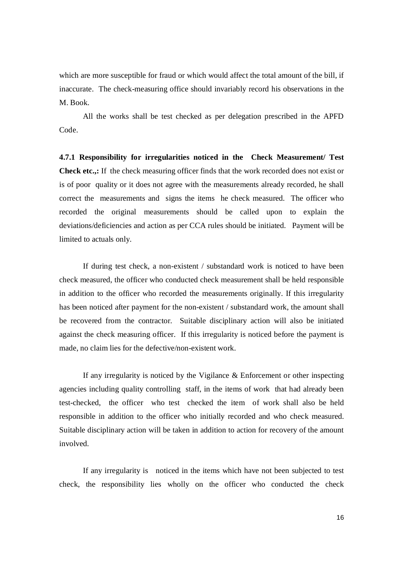which are more susceptible for fraud or which would affect the total amount of the bill, if inaccurate. The check-measuring office should invariably record his observations in the M. Book.

All the works shall be test checked as per delegation prescribed in the APFD Code.

**4.7.1 Responsibility for irregularities noticed in the Check Measurement/ Test Check etc.,:** If the check measuring officer finds that the work recorded does not exist or is of poor quality or it does not agree with the measurements already recorded, he shall correct the measurements and signs the items he check measured. The officer who recorded the original measurements should be called upon to explain the deviations/deficiencies and action as per CCA rules should be initiated. Payment will be limited to actuals only.

If during test check, a non-existent / substandard work is noticed to have been check measured, the officer who conducted check measurement shall be held responsible in addition to the officer who recorded the measurements originally. If this irregularity has been noticed after payment for the non-existent / substandard work, the amount shall be recovered from the contractor. Suitable disciplinary action will also be initiated against the check measuring officer. If this irregularity is noticed before the payment is made, no claim lies for the defective/non-existent work.

If any irregularity is noticed by the Vigilance  $\&$  Enforcement or other inspecting agencies including quality controlling staff, in the items of work that had already been test-checked, the officer who test checked the item of work shall also be held responsible in addition to the officer who initially recorded and who check measured. Suitable disciplinary action will be taken in addition to action for recovery of the amount involved.

If any irregularity is noticed in the items which have not been subjected to test check, the responsibility lies wholly on the officer who conducted the check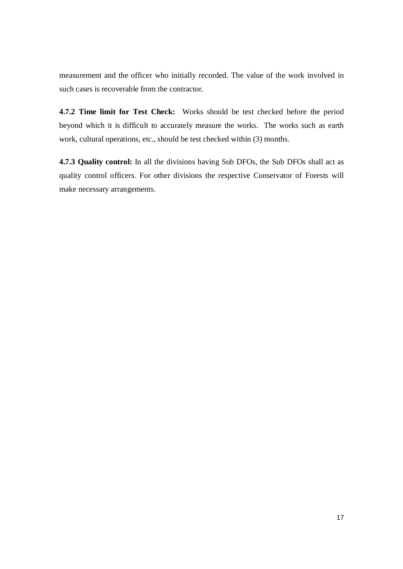measurement and the officer who initially recorded. The value of the work involved in such cases is recoverable from the contractor.

**4.7.2 Time limit for Test Check:** Works should be test checked before the period beyond which it is difficult to accurately measure the works. The works such as earth work, cultural operations, etc., should be test checked within (3) months.

**4.7.3 Quality control:** In all the divisions having Sub DFOs, the Sub DFOs shall act as quality control officers. For other divisions the respective Conservator of Forests will make necessary arrangements.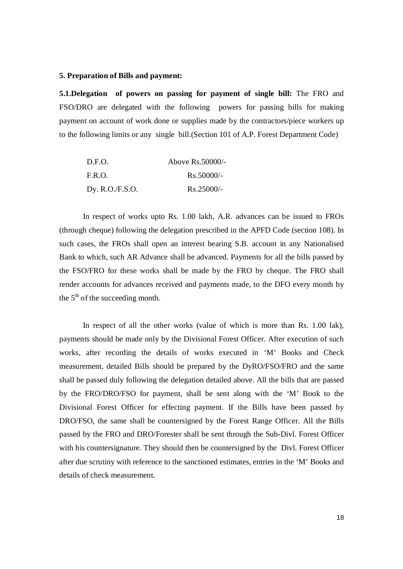#### **5. Preparation of Bills and payment:**

**5.1.Delegation** of powers on passing for payment of single bill: The FRO and FSO/DRO are delegated with the following powers for passing bills for making payment on account of work done or supplies made by the contractors/piece workers up to the following limits or any single bill.(Section 101 of A.P. Forest Department Code)

| D.F.O.          | Above Rs. 50000/- |
|-----------------|-------------------|
| F.R.O.          | $Rs.50000/-$      |
| Dy. R.O./F.S.O. | $Rs.25000/-$      |

In respect of works upto Rs. 1.00 lakh, A.R. advances can be issued to FROs (through cheque) following the delegation prescribed in the APFD Code (section 108). In such cases, the FROs shall open an interest bearing S.B. account in any Nationalised Bank to which, such AR Advance shall be advanced. Payments for all the bills passed by the FSO/FRO for these works shall be made by the FRO by cheque. The FRO shall render accounts for advances received and payments made, to the DFO every month by the  $5<sup>th</sup>$  of the succeeding month.

In respect of all the other works (value of which is more than Rs. 1.00 lak), payments should be made only by the Divisional Forest Officer. After execution of such works, after recording the details of works executed in 'M' Books and Check measurement, detailed Bills should be prepared by the DyRO/FSO/FRO and the same shall be passed duly following the delegation detailed above. All the bills that are passed by the FRO/DRO/FSO for payment, shall be sent along with the 'M' Book to the Divisional Forest Officer for effecting payment. If the Bills have been passed by DRO/FSO, the same shall be countersigned by the Forest Range Officer. All the Bills passed by the FRO and DRO/Forester shall be sent through the Sub-Divl. Forest Officer with his countersignature. They should then be countersigned by the Divl. Forest Officer after due scrutiny with reference to the sanctioned estimates, entries in the 'M' Books and details of check measurement.